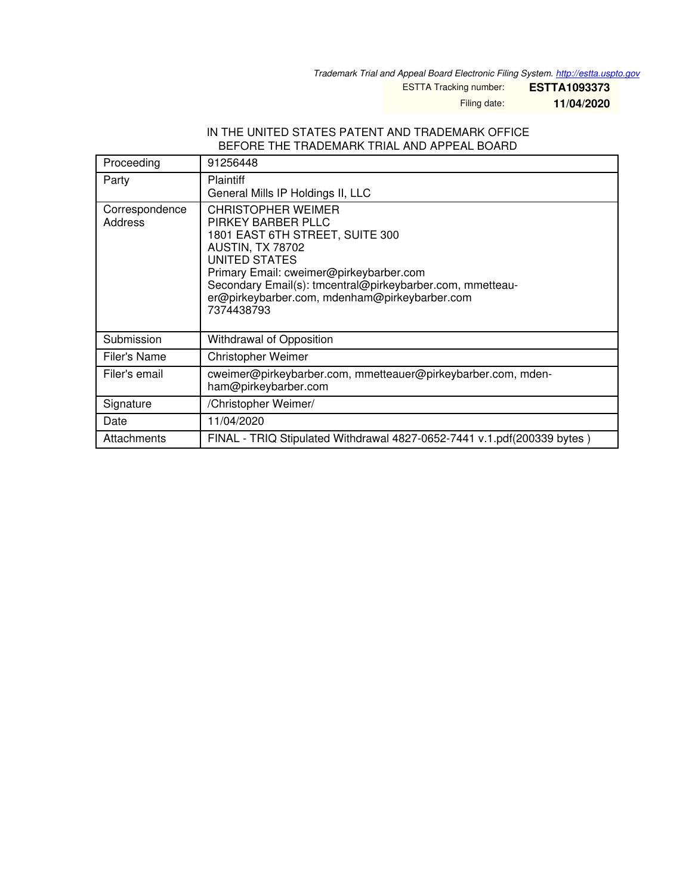*Trademark Trial and Appeal Board Electronic Filing System. <http://estta.uspto.gov>*

ESTTA Tracking number: **ESTTA1093373**

Filing date: **11/04/2020**

## IN THE UNITED STATES PATENT AND TRADEMARK OFFICE BEFORE THE TRADEMARK TRIAL AND APPEAL BOARD

| Proceeding                | 91256448                                                                                                                                                                                                                                                                                                     |
|---------------------------|--------------------------------------------------------------------------------------------------------------------------------------------------------------------------------------------------------------------------------------------------------------------------------------------------------------|
| Party                     | <b>Plaintiff</b><br>General Mills IP Holdings II, LLC                                                                                                                                                                                                                                                        |
| Correspondence<br>Address | <b>CHRISTOPHER WEIMER</b><br>PIRKEY BARBER PLLC<br>1801 EAST 6TH STREET, SUITE 300<br><b>AUSTIN, TX 78702</b><br><b>UNITED STATES</b><br>Primary Email: cweimer@pirkeybarber.com<br>Secondary Email(s): tmcentral@pirkeybarber.com, mmetteau-<br>er@pirkeybarber.com, mdenham@pirkeybarber.com<br>7374438793 |
| Submission                | Withdrawal of Opposition                                                                                                                                                                                                                                                                                     |
| Filer's Name              | <b>Christopher Weimer</b>                                                                                                                                                                                                                                                                                    |
| Filer's email             | cweimer@pirkeybarber.com, mmetteauer@pirkeybarber.com, mden-<br>ham@pirkeybarber.com                                                                                                                                                                                                                         |
| Signature                 | /Christopher Weimer/                                                                                                                                                                                                                                                                                         |
| Date                      | 11/04/2020                                                                                                                                                                                                                                                                                                   |
| Attachments               | FINAL - TRIQ Stipulated Withdrawal 4827-0652-7441 v.1.pdf(200339 bytes)                                                                                                                                                                                                                                      |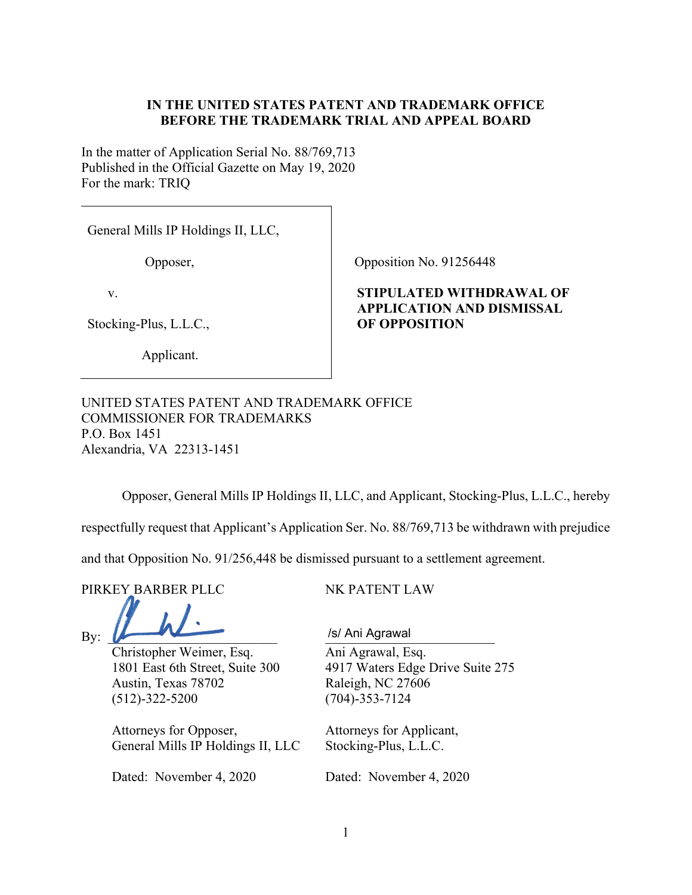## **IN THE UNITED STATES PATENT AND TRADEMARK OFFICE BEFORE THE TRADEMARK TRIAL AND APPEAL BOARD**

In the matter of Application Serial No. 88/769,713 Published in the Official Gazette on May 19, 2020 For the mark: TRIQ

General Mills IP Holdings II, LLC,

Opposer,

v.

Stocking-Plus, L.L.C.,

Applicant.

Opposition No. 91256448

## **STIPULATED WITHDRAWAL OF APPLICATION AND DISMISSAL OF OPPOSITION**

UNITED STATES PATENT AND TRADEMARK OFFICE COMMISSIONER FOR TRADEMARKS P.O. Box 1451 Alexandria, VA 22313-1451

Opposer, General Mills IP Holdings II, LLC, and Applicant, Stocking-Plus, L.L.C., hereby

respectfully request that Applicant's Application Ser. No. 88/769,713 be withdrawn with prejudice

and that Opposition No. 91/256,448 be dismissed pursuant to a settlement agreement.

PIRKEY BARBER PLLC NK PATENT LAW

By: <u>New List of Ani Agrawal</u>

Christopher Weimer, Esq. Ani Agrawal, Esq. Austin, Texas 78702 Raleigh, NC 27606 (512)-322-5200 (704)-353-7124

Attorneys for Opposer, Attorneys for Applicant, General Mills IP Holdings II, LLC Stocking-Plus, L.L.C.

Dated: November 4, 2020 Dated: November 4, 2020

1801 East 6th Street, Suite 300 4917 Waters Edge Drive Suite 275